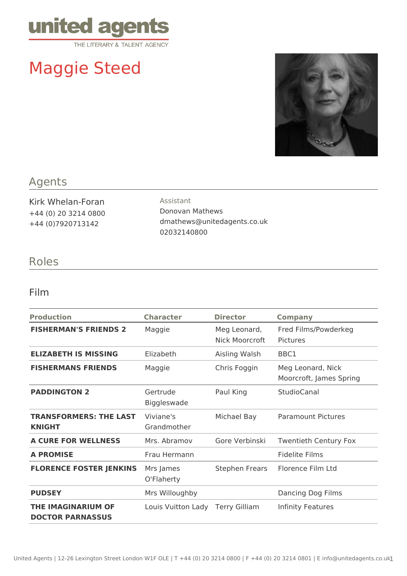

# Maggie Steed



## Agents

Kirk Whelan-Foran +44 (0) 20 3214 0800 +44 (0)7920713142

Assistant Donovan Mathews dmathews@unitedagents.co.uk 02032140800

### Roles

#### Film

| <b>Production</b>                                    | <b>Character</b>               | <b>Director</b>                | <b>Company</b>                               |
|------------------------------------------------------|--------------------------------|--------------------------------|----------------------------------------------|
| <b>FISHERMAN'S FRIENDS 2</b>                         | Maggie                         | Meg Leonard,<br>Nick Moorcroft | Fred Films/Powderkeg<br>Pictures             |
| <b>ELIZABETH IS MISSING</b>                          | Elizabeth                      | Aisling Walsh                  | BBC1                                         |
| <b>FISHERMANS FRIENDS</b>                            | Maggie                         | Chris Foggin                   | Meg Leonard, Nick<br>Moorcroft, James Spring |
| <b>PADDINGTON 2</b>                                  | Gertrude<br><b>Biggleswade</b> | Paul King                      | StudioCanal                                  |
| <b>TRANSFORMERS: THE LAST</b><br><b>KNIGHT</b>       | Viviane's<br>Grandmother       | Michael Bay                    | <b>Paramount Pictures</b>                    |
| <b>A CURE FOR WELLNESS</b>                           | Mrs. Abramov                   | Gore Verbinski                 | <b>Twentieth Century Fox</b>                 |
| <b>A PROMISE</b>                                     | Frau Hermann                   |                                | <b>Fidelite Films</b>                        |
| <b>FLORENCE FOSTER JENKINS</b>                       | Mrs James<br>O'Flaherty        | Stephen Frears                 | Florence Film Ltd                            |
| <b>PUDSEY</b>                                        | Mrs Willoughby                 |                                | Dancing Dog Films                            |
| <b>THE IMAGINARIUM OF</b><br><b>DOCTOR PARNASSUS</b> | Louis Vuitton Lady             | <b>Terry Gilliam</b>           | Infinity Features                            |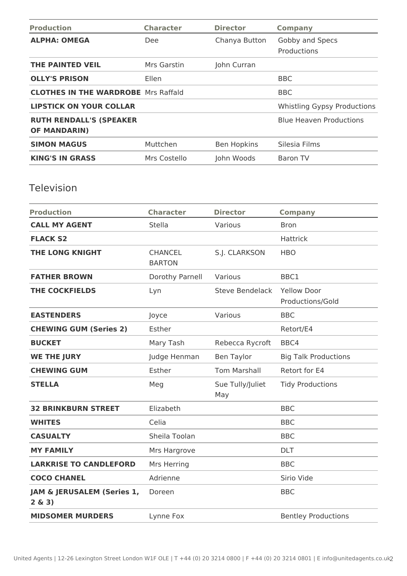| <b>Production</b>                                     | <b>Character</b> | <b>Director</b>    | <b>Company</b>                     |
|-------------------------------------------------------|------------------|--------------------|------------------------------------|
| <b>ALPHA: OMEGA</b>                                   | Dee:             | Chanya Button      | Gobby and Specs<br>Productions     |
| <b>THE PAINTED VEIL</b>                               | Mrs Garstin      | John Curran        |                                    |
| <b>OLLY'S PRISON</b>                                  | <b>Ellen</b>     |                    | <b>BBC</b>                         |
| <b>CLOTHES IN THE WARDROBE</b> Mrs Raffald            |                  |                    | <b>BBC</b>                         |
| <b>LIPSTICK ON YOUR COLLAR</b>                        |                  |                    | <b>Whistling Gypsy Productions</b> |
| <b>RUTH RENDALL'S (SPEAKER</b><br><b>OF MANDARIN)</b> |                  |                    | <b>Blue Heaven Productions</b>     |
| <b>SIMON MAGUS</b>                                    | Muttchen         | <b>Ben Hopkins</b> | Silesia Films                      |
| <b>KING'S IN GRASS</b>                                | Mrs Costello     | John Woods         | <b>Baron TV</b>                    |

## Television

| <b>Production</b>                    | <b>Character</b>                | <b>Director</b>         | <b>Company</b>                         |
|--------------------------------------|---------------------------------|-------------------------|----------------------------------------|
| <b>CALL MY AGENT</b>                 | Stella                          | Various                 | <b>Bron</b>                            |
| <b>FLACK S2</b>                      |                                 |                         | Hattrick                               |
| <b>THE LONG KNIGHT</b>               | <b>CHANCEL</b><br><b>BARTON</b> | S.J. CLARKSON           | <b>HBO</b>                             |
| <b>FATHER BROWN</b>                  | Dorothy Parnell                 | Various                 | BBC1                                   |
| <b>THE COCKFIELDS</b>                | Lyn                             | <b>Steve Bendelack</b>  | <b>Yellow Door</b><br>Productions/Gold |
| <b>EASTENDERS</b>                    | Joyce                           | Various                 | <b>BBC</b>                             |
| <b>CHEWING GUM (Series 2)</b>        | Esther                          |                         | Retort/E4                              |
| <b>BUCKET</b>                        | Mary Tash                       | Rebecca Rycroft         | BBC4                                   |
| <b>WE THE JURY</b>                   | Judge Henman                    | <b>Ben Taylor</b>       | <b>Big Talk Productions</b>            |
| <b>CHEWING GUM</b>                   | Esther                          | <b>Tom Marshall</b>     | Retort for E4                          |
| <b>STELLA</b>                        | Meg                             | Sue Tully/Juliet<br>May | <b>Tidy Productions</b>                |
| <b>32 BRINKBURN STREET</b>           | Elizabeth                       |                         | <b>BBC</b>                             |
| <b>WHITES</b>                        | Celia                           |                         | <b>BBC</b>                             |
| <b>CASUALTY</b>                      | Sheila Toolan                   |                         | <b>BBC</b>                             |
| <b>MY FAMILY</b>                     | Mrs Hargrove                    |                         | <b>DLT</b>                             |
| <b>LARKRISE TO CANDLEFORD</b>        | Mrs Herring                     |                         | <b>BBC</b>                             |
| <b>COCO CHANEL</b>                   | Adrienne                        |                         | Sirio Vide                             |
| JAM & JERUSALEM (Series 1,<br>2 & 3) | Doreen                          |                         | <b>BBC</b>                             |
| <b>MIDSOMER MURDERS</b>              | Lynne Fox                       |                         | <b>Bentley Productions</b>             |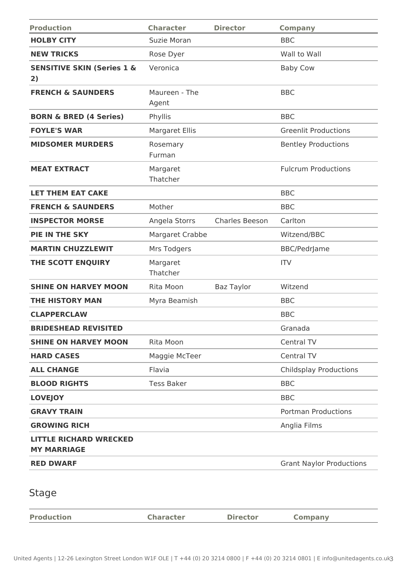| <b>Production</b>                                   | <b>Character</b>                | <b>Director</b>   | <b>Company</b>                  |
|-----------------------------------------------------|---------------------------------|-------------------|---------------------------------|
| <b>HOLBY CITY</b>                                   | Suzie Moran                     |                   | <b>BBC</b>                      |
| <b>NEW TRICKS</b>                                   | Rose Dyer                       |                   | Wall to Wall                    |
| <b>SENSITIVE SKIN (Series 1 &amp;</b><br>2)         | Veronica                        |                   | <b>Baby Cow</b>                 |
| <b>FRENCH &amp; SAUNDERS</b>                        | Maureen - The<br>Agent          |                   | <b>BBC</b>                      |
| <b>BORN &amp; BRED (4 Series)</b>                   | Phyllis                         |                   | <b>BBC</b>                      |
| <b>FOYLE'S WAR</b>                                  | <b>Margaret Ellis</b>           |                   | <b>Greenlit Productions</b>     |
| <b>MIDSOMER MURDERS</b>                             | Rosemary<br>Furman              |                   | <b>Bentley Productions</b>      |
| <b>MEAT EXTRACT</b>                                 | Margaret<br>Thatcher            |                   | <b>Fulcrum Productions</b>      |
| <b>LET THEM EAT CAKE</b>                            |                                 |                   | <b>BBC</b>                      |
| <b>FRENCH &amp; SAUNDERS</b>                        | Mother                          |                   | <b>BBC</b>                      |
| <b>INSPECTOR MORSE</b>                              | Charles Beeson<br>Angela Storrs |                   | Carlton                         |
| <b>PIE IN THE SKY</b>                               | Margaret Crabbe                 |                   | Witzend/BBC                     |
| <b>MARTIN CHUZZLEWIT</b>                            | Mrs Todgers                     |                   | <b>BBC/PedrJame</b>             |
| THE SCOTT ENQUIRY                                   | Margaret<br>Thatcher            |                   | <b>ITV</b>                      |
| <b>SHINE ON HARVEY MOON</b>                         | Rita Moon                       | <b>Baz Taylor</b> | Witzend                         |
| <b>THE HISTORY MAN</b>                              | Myra Beamish                    |                   | <b>BBC</b>                      |
| <b>CLAPPERCLAW</b>                                  |                                 |                   | <b>BBC</b>                      |
| <b>BRIDESHEAD REVISITED</b>                         |                                 |                   | Granada                         |
| <b>SHINE ON HARVEY MOON</b>                         | Rita Moon                       |                   | Central TV                      |
| <b>HARD CASES</b>                                   | Maggie McTeer                   |                   | <b>Central TV</b>               |
| <b>ALL CHANGE</b>                                   | Flavia                          |                   | <b>Childsplay Productions</b>   |
| <b>BLOOD RIGHTS</b>                                 | <b>Tess Baker</b>               |                   | <b>BBC</b>                      |
| <b>LOVEJOY</b>                                      |                                 |                   | <b>BBC</b>                      |
| <b>GRAVY TRAIN</b>                                  |                                 |                   | <b>Portman Productions</b>      |
| <b>GROWING RICH</b>                                 |                                 |                   | Anglia Films                    |
| <b>LITTLE RICHARD WRECKED</b><br><b>MY MARRIAGE</b> |                                 |                   |                                 |
| <b>RED DWARF</b>                                    |                                 |                   | <b>Grant Naylor Productions</b> |
| <b>Stage</b>                                        |                                 |                   |                                 |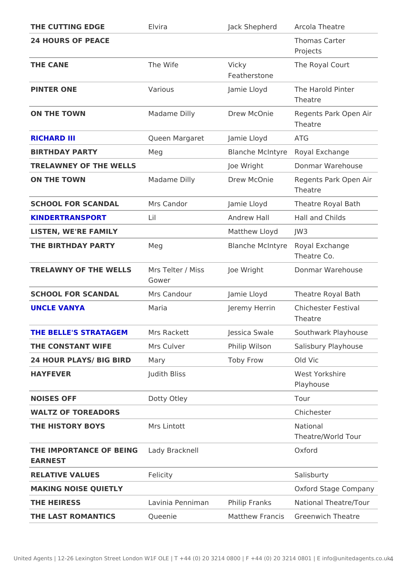| THE CUTTING EDGE                               | Elvira                     |                       | Jack Shepherd rcola Theatre                         |
|------------------------------------------------|----------------------------|-----------------------|-----------------------------------------------------|
| 24 HOURS OF PEACE                              |                            |                       | Thomas Carter<br>Projects                           |
| THE CANE                                       | The Wife                   | Vicky<br>Featherstone | The Royal Court                                     |
| PINTER ONE                                     | Various                    |                       | Jamie Lloyd The Harold Pinter<br>Theatre            |
| ON THE TOWN                                    | Madame Dilly               |                       | Drew McOnie Regents Park Open Air<br>Theatre        |
| RICHARD III                                    | Queen Margaret Jamie Lloyd |                       | ATG                                                 |
| BIRTHDAY PARTY                                 | M e g                      |                       | Blanche McIntRogal Exchange                         |
| TRELAWNEY OF THE WELLS                         |                            | Joe Wright            | Donmar Warehouse                                    |
| ON THE TOWN                                    | Madame Dilly               |                       | Drew McOnie Regents Park Open Air<br>Theatre        |
| SCHOOL FOR SCANDAL Mrs Candor                  |                            |                       | Jamie Lloyd Theatre Royal Bath                      |
| KINDERTRANSPORT<br>Lil                         |                            | Andrew Hall           | Hall and Childs                                     |
| LISTEN, WE'RE FAMILY                           |                            | Matthew LloydJW3      |                                                     |
| THE BIRTHDAY PARTY                             | Meg                        |                       | Blanche McIntRogal Exchange<br>Theatre Co.          |
| TRELAWNY OF THE WELMSs Telter / Missloe Wright | Gower                      |                       | Donmar Warehouse                                    |
| SCHOOL FOR SCANDAL Mrs Candour                 |                            |                       | Jamie Lloyd Theatre Royal Bath                      |
| UNCLE VANYA                                    | Maria                      |                       | Jeremy HerrinChichester Festival<br>Theatre         |
| THE BELLE'S STRATAGEMMrs Rackett               |                            |                       | Jessica SwaleSouthwark Playhouse                    |
| THE CONSTANT WIFE                              | Mrs Culver                 |                       | Philip Wilson Salisbury Playhouse                   |
| 24 HOUR PLAYS/ BIG BIRIDry                     |                            | Toby Frow             | Old Vic                                             |
| HAYFEVER                                       | Judith Bliss               |                       | West Yorkshire<br>Playhouse                         |
| NOISES OFF                                     | Dotty Otley                |                       | Tour                                                |
| WALTZ OF TOREADORS                             |                            |                       | Chichester                                          |
| THE HISTORY BOYS                               | Mrs Lintott                |                       | National<br>Theatre/World Tour                      |
| THE IMPORTANCE OF BELIANG Bracknell<br>EARNEST |                            |                       | Oxford                                              |
| RELATIVE VALUES                                | Felicity                   |                       | Salisburty                                          |
|                                                |                            |                       | Oxford Stage Company                                |
| MAKING NOISE QUIETLY                           |                            |                       |                                                     |
| THE HEIRESS                                    |                            |                       | Lavinia Pennima Philip Franks National Theatre/Tour |